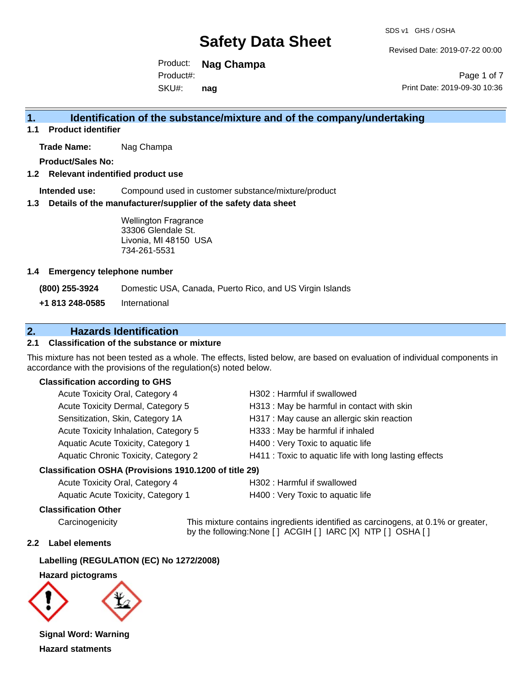Revised Date: 2019-07-22 00:00

Product: **Nag Champa**  SKU#: Product#: **nag**

Page 1 of 7 Print Date: 2019-09-30 10:36

## **1. Identification of the substance/mixture and of the company/undertaking**

**1.1 Product identifier**

**Trade Name:** Nag Champa

**Product/Sales No:**

#### **1.2 Relevant indentified product use**

**Intended use:** Compound used in customer substance/mixture/product

#### **1.3 Details of the manufacturer/supplier of the safety data sheet**

Wellington Fragrance 33306 Glendale St. Livonia, MI 48150 USA 734-261-5531

#### **1.4 Emergency telephone number**

**(800) 255-3924** Domestic USA, Canada, Puerto Rico, and US Virgin Islands

**+1 813 248-0585** International

## **2. Hazards Identification**

### **2.1 Classification of the substance or mixture**

This mixture has not been tested as a whole. The effects, listed below, are based on evaluation of individual components in accordance with the provisions of the regulation(s) noted below.

### **Classification according to GHS**

| Acute Toxicity Oral, Category 4       | H302: Harmful if swallowed                             |
|---------------------------------------|--------------------------------------------------------|
| Acute Toxicity Dermal, Category 5     | H313: May be harmful in contact with skin              |
| Sensitization, Skin, Category 1A      | H317 : May cause an allergic skin reaction             |
| Acute Toxicity Inhalation, Category 5 | H333: May be harmful if inhaled                        |
| Aquatic Acute Toxicity, Category 1    | H400 : Very Toxic to aquatic life                      |
| Aquatic Chronic Toxicity, Category 2  | H411 : Toxic to aquatic life with long lasting effects |
|                                       |                                                        |

#### **Classification OSHA (Provisions 1910.1200 of title 29)**

| Acute Toxicity Oral, Category 4    |  |
|------------------------------------|--|
| Aquatic Acute Toxicity. Category 1 |  |

H302 : Harmful if swallowed

H400 : Very Toxic to aquatic life

#### **Classification Other**

Carcinogenicity This mixture contains ingredients identified as carcinogens, at 0.1% or greater, by the following:None [ ] ACGIH [ ] IARC [X] NTP [ ] OSHA [ ]

### **2.2 Label elements**

### **Labelling (REGULATION (EC) No 1272/2008)**

#### **Hazard pictograms**



**Signal Word: Warning Hazard statments**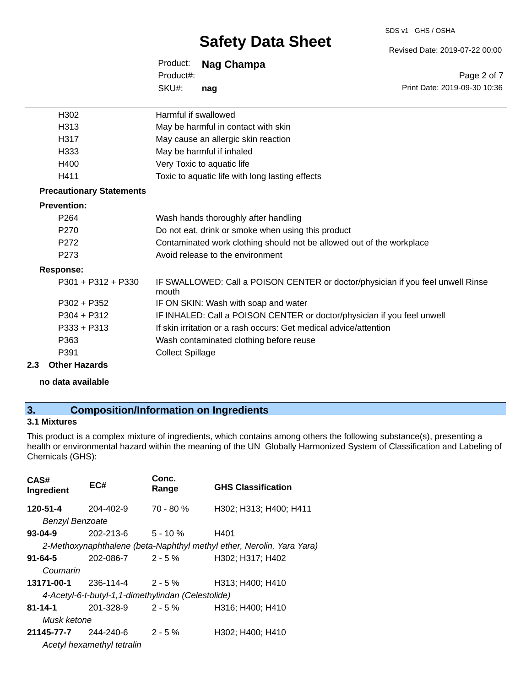Revised Date: 2019-07-22 00:00

| Product:  | Nag Champa |
|-----------|------------|
| Product#: |            |
| SKU#:     | nag        |

Page 2 of 7 Print Date: 2019-09-30 10:36

| H302                            | Harmful if swallowed                                                                     |
|---------------------------------|------------------------------------------------------------------------------------------|
| H313                            | May be harmful in contact with skin                                                      |
| H317                            | May cause an allergic skin reaction                                                      |
| H333                            | May be harmful if inhaled                                                                |
| H400                            | Very Toxic to aquatic life                                                               |
| H411                            | Toxic to aquatic life with long lasting effects                                          |
| <b>Precautionary Statements</b> |                                                                                          |
| <b>Prevention:</b>              |                                                                                          |
| P <sub>264</sub>                | Wash hands thoroughly after handling                                                     |
| P270                            | Do not eat, drink or smoke when using this product                                       |
| P272                            | Contaminated work clothing should not be allowed out of the workplace                    |
| P273                            | Avoid release to the environment                                                         |
| <b>Response:</b>                |                                                                                          |
| $P301 + P312 + P330$            | IF SWALLOWED: Call a POISON CENTER or doctor/physician if you feel unwell Rinse<br>mouth |
| $P302 + P352$                   | IF ON SKIN: Wash with soap and water                                                     |
| $P304 + P312$                   | IF INHALED: Call a POISON CENTER or doctor/physician if you feel unwell                  |
| P333 + P313                     | If skin irritation or a rash occurs: Get medical advice/attention                        |
| P363                            | Wash contaminated clothing before reuse                                                  |
| P391                            | <b>Collect Spillage</b>                                                                  |
|                                 |                                                                                          |

#### **2.3 Other Hazards**

**no data available**

## **3. Composition/Information on Ingredients**

## **3.1 Mixtures**

This product is a complex mixture of ingredients, which contains among others the following substance(s), presenting a health or environmental hazard within the meaning of the UN Globally Harmonized System of Classification and Labeling of Chemicals (GHS):

| CAS#<br>Ingredient         | EC#                                                | Conc.<br>Range | <b>GHS Classification</b>                                             |
|----------------------------|----------------------------------------------------|----------------|-----------------------------------------------------------------------|
| 120-51-4                   | 204-402-9                                          | $70 - 80 \%$   | H302; H313; H400; H411                                                |
| <b>Benzyl Benzoate</b>     |                                                    |                |                                                                       |
| 93-04-9                    | 202-213-6                                          | $5 - 10 \%$    | H401                                                                  |
|                            |                                                    |                | 2-Methoxynaphthalene (beta-Naphthyl methyl ether, Nerolin, Yara Yara) |
| $91 - 64 - 5$              | 202-086-7                                          | $2 - 5 \%$     | H302; H317; H402                                                      |
| Coumarin                   |                                                    |                |                                                                       |
| 13171-00-1                 | $236-114-4$ 2 - 5 %                                |                | H313; H400; H410                                                      |
|                            | 4-Acetyl-6-t-butyl-1,1-dimethylindan (Celestolide) |                |                                                                       |
| 81-14-1                    | $201 - 328 - 9$ 2 - 5 %                            |                | H316; H400; H410                                                      |
| Musk ketone                |                                                    |                |                                                                       |
| $21145 - 77 - 7$ 244-240-6 |                                                    | $2 - 5 \%$     | H302; H400; H410                                                      |
|                            | Acetyl hexamethyl tetralin                         |                |                                                                       |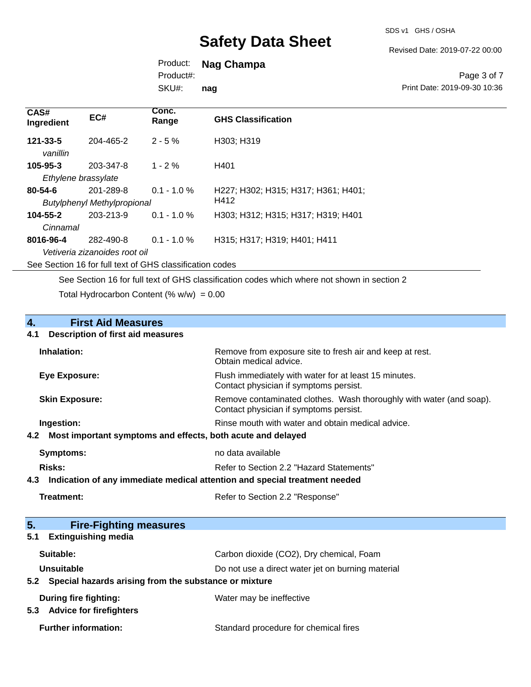Revised Date: 2019-07-22 00:00

## Product: **Nag Champa**

Product#:

SKU#: **nag**

### Page 3 of 7 Print Date: 2019-09-30 10:36

| CAS#<br>Ingredient                                       | EC#                                | Conc.<br>Range | <b>GHS Classification</b>           |  |
|----------------------------------------------------------|------------------------------------|----------------|-------------------------------------|--|
| $121 - 33 - 5$<br>vanillin                               | 204-465-2                          | $2 - 5\%$      | H303: H319                          |  |
| $105 - 95 - 3$                                           | 203-347-8                          | $1 - 2 \%$     | H401                                |  |
| Ethylene brassylate                                      |                                    |                |                                     |  |
| 80-54-6                                                  | 201-289-8                          | $0.1 - 1.0 \%$ | H227: H302: H315: H317: H361: H401: |  |
|                                                          | <b>Butylphenyl Methylpropional</b> |                | H412                                |  |
| $104 - 55 - 2$                                           | 203-213-9                          | $0.1 - 1.0 \%$ | H303: H312: H315: H317: H319: H401  |  |
| Cinnamal                                                 |                                    |                |                                     |  |
| 8016-96-4                                                | 282-490-8                          | $0.1 - 1.0 \%$ | H315; H317; H319; H401; H411        |  |
|                                                          | Vetiveria zizanoides root oil      |                |                                     |  |
| See Section 16 for full text of GHS classification codes |                                    |                |                                     |  |

See Section 16 for full text of GHS classification codes which where not shown in section 2

Total Hydrocarbon Content (%  $w/w$ ) = 0.00

# **4.** First Aid Measures<br>**4.1** Description of first aid meas

## **4.1 Description of first aid measures**

| Inhalation:                                                     | Remove from exposure site to fresh air and keep at rest.<br>Obtain medical advice.                            |
|-----------------------------------------------------------------|---------------------------------------------------------------------------------------------------------------|
| Eye Exposure:                                                   | Flush immediately with water for at least 15 minutes.<br>Contact physician if symptoms persist.               |
| <b>Skin Exposure:</b>                                           | Remove contaminated clothes. Wash thoroughly with water (and soap).<br>Contact physician if symptoms persist. |
| Ingestion:                                                      | Rinse mouth with water and obtain medical advice.                                                             |
| 4.2 Most important symptoms and effects, both acute and delayed |                                                                                                               |
| Symptoms:                                                       | no data available                                                                                             |
| Risks:                                                          | Refer to Section 2.2 "Hazard Statements"                                                                      |

### **4.3 Indication of any immediate medical attention and special treatment needed**

| Treatment: | Refer to Section 2.2 "Response" |
|------------|---------------------------------|
|------------|---------------------------------|

| 5 <sub>1</sub><br><b>Fire-Fighting measures</b>              |                                                   |
|--------------------------------------------------------------|---------------------------------------------------|
| <b>Extinguishing media</b><br>5.1                            |                                                   |
| Suitable:                                                    | Carbon dioxide (CO2), Dry chemical, Foam          |
| Unsuitable                                                   | Do not use a direct water jet on burning material |
| Special hazards arising from the substance or mixture<br>5.2 |                                                   |
| During fire fighting:                                        | Water may be ineffective                          |
| <b>Advice for firefighters</b><br>5.3                        |                                                   |
| <b>Further information:</b>                                  | Standard procedure for chemical fires             |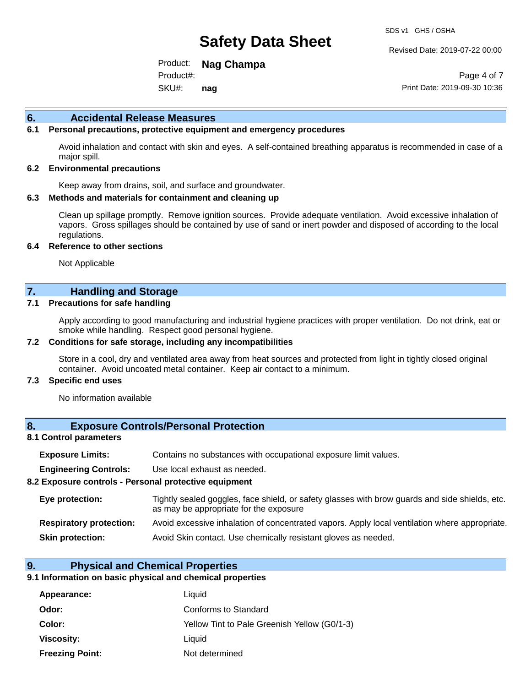Revised Date: 2019-07-22 00:00

Product: **Nag Champa**  SKU#: Product#: **nag**

Page 4 of 7 Print Date: 2019-09-30 10:36

### **6. Accidental Release Measures**

### **6.1 Personal precautions, protective equipment and emergency procedures**

Avoid inhalation and contact with skin and eyes. A self-contained breathing apparatus is recommended in case of a major spill.

#### **6.2 Environmental precautions**

Keep away from drains, soil, and surface and groundwater.

#### **6.3 Methods and materials for containment and cleaning up**

Clean up spillage promptly. Remove ignition sources. Provide adequate ventilation. Avoid excessive inhalation of vapors. Gross spillages should be contained by use of sand or inert powder and disposed of according to the local regulations.

#### **6.4 Reference to other sections**

Not Applicable

## **7. Handling and Storage**

#### **7.1 Precautions for safe handling**

Apply according to good manufacturing and industrial hygiene practices with proper ventilation. Do not drink, eat or smoke while handling. Respect good personal hygiene.

#### **7.2 Conditions for safe storage, including any incompatibilities**

Store in a cool, dry and ventilated area away from heat sources and protected from light in tightly closed original container. Avoid uncoated metal container. Keep air contact to a minimum.

#### **7.3 Specific end uses**

No information available

### **8. Exposure Controls/Personal Protection**

#### **8.1 Control parameters**

| <b>Exposure Limits:</b> |  | Contains no substances with occupational exposure limit values. |  |  |  |
|-------------------------|--|-----------------------------------------------------------------|--|--|--|
|-------------------------|--|-----------------------------------------------------------------|--|--|--|

**Engineering Controls:** Use local exhaust as needed.

#### **8.2 Exposure controls - Personal protective equipment**

| Eye protection:                | Tightly sealed goggles, face shield, or safety glasses with brow guards and side shields, etc.<br>as may be appropriate for the exposure |  |
|--------------------------------|------------------------------------------------------------------------------------------------------------------------------------------|--|
| <b>Respiratory protection:</b> | Avoid excessive inhalation of concentrated vapors. Apply local ventilation where appropriate.                                            |  |
| <b>Skin protection:</b>        | Avoid Skin contact. Use chemically resistant gloves as needed.                                                                           |  |

#### **9. Physical and Chemical Properties**

#### **9.1 Information on basic physical and chemical properties**

| Appearance:            | Liquid                                       |
|------------------------|----------------------------------------------|
| Odor:                  | Conforms to Standard                         |
| Color:                 | Yellow Tint to Pale Greenish Yellow (G0/1-3) |
| Viscosity:             | Liauid                                       |
| <b>Freezing Point:</b> | Not determined                               |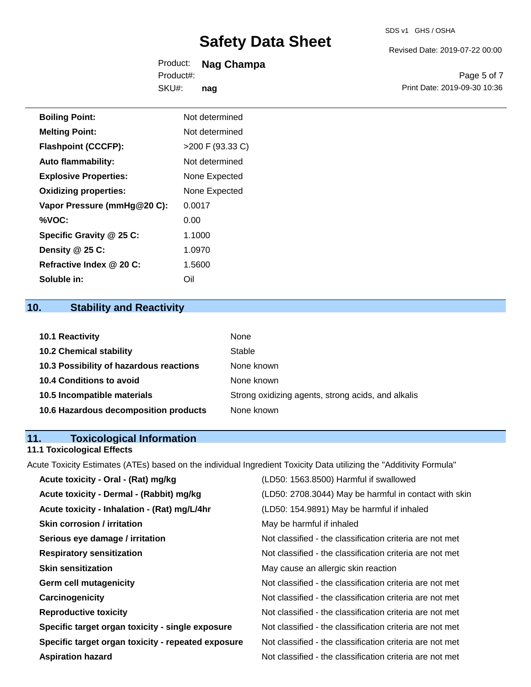Revised Date: 2019-07-22 00:00

| Product:  | Nag Champa |
|-----------|------------|
| Product#: |            |
| SKU#:     | nag        |

Page 5 of 7 Print Date: 2019-09-30 10:36

| <b>Boiling Point:</b>        | Not determined     |
|------------------------------|--------------------|
| <b>Melting Point:</b>        | Not determined     |
| <b>Flashpoint (CCCFP):</b>   | $>200$ F (93.33 C) |
| <b>Auto flammability:</b>    | Not determined     |
| <b>Explosive Properties:</b> | None Expected      |
| <b>Oxidizing properties:</b> | None Expected      |
| Vapor Pressure (mmHg@20 C):  | 0.0017             |
| %VOC:                        | 0.00               |
| Specific Gravity @ 25 C:     | 1.1000             |
| Density @ 25 C:              | 1.0970             |
| Refractive Index @ 20 C:     | 1.5600             |
| Soluble in:                  | Oil                |

## **10. Stability and Reactivity**

| <b>10.1 Reactivity</b>                  | None                                               |
|-----------------------------------------|----------------------------------------------------|
| <b>10.2 Chemical stability</b>          | Stable                                             |
| 10.3 Possibility of hazardous reactions | None known                                         |
| <b>10.4 Conditions to avoid</b>         | None known                                         |
| 10.5 Incompatible materials             | Strong oxidizing agents, strong acids, and alkalis |
| 10.6 Hazardous decomposition products   | None known                                         |

## **11. Toxicological Information**

## **11.1 Toxicological Effects**

Acute Toxicity Estimates (ATEs) based on the individual Ingredient Toxicity Data utilizing the "Additivity Formula"

| Acute toxicity - Oral - (Rat) mg/kg                | (LD50: 1563.8500) Harmful if swallowed                   |
|----------------------------------------------------|----------------------------------------------------------|
| Acute toxicity - Dermal - (Rabbit) mg/kg           | (LD50: 2708.3044) May be harmful in contact with skin    |
| Acute toxicity - Inhalation - (Rat) mg/L/4hr       | (LD50: 154.9891) May be harmful if inhaled               |
| <b>Skin corrosion / irritation</b>                 | May be harmful if inhaled                                |
| Serious eye damage / irritation                    | Not classified - the classification criteria are not met |
| <b>Respiratory sensitization</b>                   | Not classified - the classification criteria are not met |
| <b>Skin sensitization</b>                          | May cause an allergic skin reaction                      |
| <b>Germ cell mutagenicity</b>                      | Not classified - the classification criteria are not met |
| Carcinogenicity                                    | Not classified - the classification criteria are not met |
| <b>Reproductive toxicity</b>                       | Not classified - the classification criteria are not met |
| Specific target organ toxicity - single exposure   | Not classified - the classification criteria are not met |
| Specific target organ toxicity - repeated exposure | Not classified - the classification criteria are not met |
| <b>Aspiration hazard</b>                           | Not classified - the classification criteria are not met |
|                                                    |                                                          |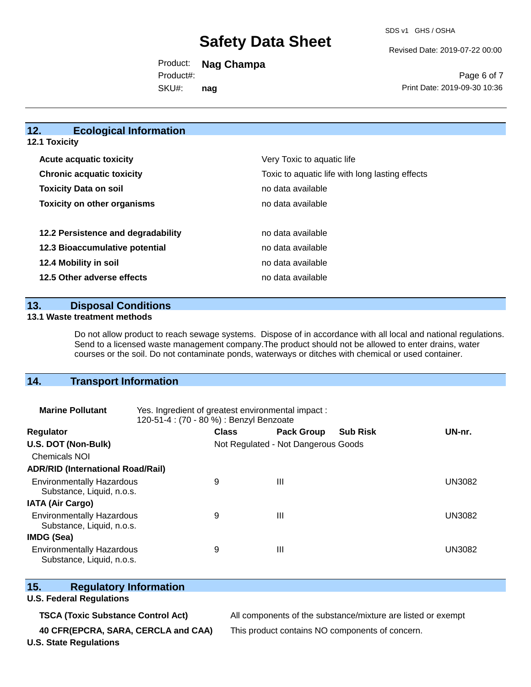Revised Date: 2019-07-22 00:00

Product: **Nag Champa**  SKU#: Product#: **nag**

Page 6 of 7 Print Date: 2019-09-30 10:36

## **12. Ecological Information**

**12.1 Toxicity**

| <b>Acute acquatic toxicity</b>     | Very Toxic to aquatic life                      |
|------------------------------------|-------------------------------------------------|
| <b>Chronic acquatic toxicity</b>   | Toxic to aquatic life with long lasting effects |
| <b>Toxicity Data on soil</b>       | no data available                               |
| <b>Toxicity on other organisms</b> | no data available                               |
|                                    |                                                 |
| 12.2 Persistence and degradability | no data available                               |
| 12.3 Bioaccumulative potential     | no data available                               |
| 12.4 Mobility in soil              | no data available                               |
| 12.5 Other adverse effects         | no data available                               |

**13. Disposal Conditions** 

### **13.1 Waste treatment methods**

Do not allow product to reach sewage systems. Dispose of in accordance with all local and national regulations. Send to a licensed waste management company.The product should not be allowed to enter drains, water courses or the soil. Do not contaminate ponds, waterways or ditches with chemical or used container.

## **14. Transport Information**

| <b>Marine Pollutant</b>                                       | Yes. Ingredient of greatest environmental impact:<br>120-51-4 : (70 - 80 %) : Benzyl Benzoate |                                     |                   |                 |               |
|---------------------------------------------------------------|-----------------------------------------------------------------------------------------------|-------------------------------------|-------------------|-----------------|---------------|
| <b>Regulator</b>                                              |                                                                                               | <b>Class</b>                        | <b>Pack Group</b> | <b>Sub Risk</b> | UN-nr.        |
| U.S. DOT (Non-Bulk)                                           |                                                                                               | Not Regulated - Not Dangerous Goods |                   |                 |               |
| <b>Chemicals NOI</b>                                          |                                                                                               |                                     |                   |                 |               |
| <b>ADR/RID (International Road/Rail)</b>                      |                                                                                               |                                     |                   |                 |               |
| <b>Environmentally Hazardous</b><br>Substance, Liquid, n.o.s. |                                                                                               | 9                                   | $\mathbf{III}$    |                 | UN3082        |
| <b>IATA (Air Cargo)</b>                                       |                                                                                               |                                     |                   |                 |               |
| <b>Environmentally Hazardous</b><br>Substance, Liquid, n.o.s. |                                                                                               | 9                                   | $\mathbf{III}$    |                 | <b>UN3082</b> |
| <b>IMDG (Sea)</b>                                             |                                                                                               |                                     |                   |                 |               |
| <b>Environmentally Hazardous</b><br>Substance, Liquid, n.o.s. |                                                                                               | 9                                   | $\mathbf{III}$    |                 | UN3082        |

## **15. Regulatory Information**

## **U.S. Federal Regulations**

**40 CFR(EPCRA, SARA, CERCLA and CAA)** This product contains NO components of concern.

**TSCA (Toxic Substance Control Act)** All components of the substance/mixture are listed or exempt

**U.S. State Regulations**